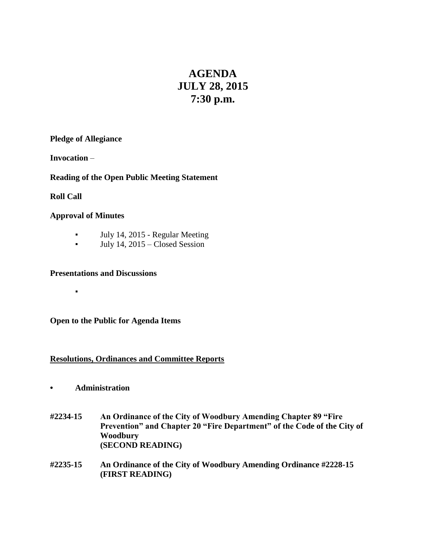# **AGENDA JULY 28, 2015 7:30 p.m.**

### **Pledge of Allegiance**

**Invocation** –

## **Reading of the Open Public Meeting Statement**

**Roll Call**

#### **Approval of Minutes**

▪

- July 14, 2015 Regular Meeting
- July 14, 2015 Closed Session

#### **Presentations and Discussions**

**Open to the Public for Agenda Items**

#### **Resolutions, Ordinances and Committee Reports**

- **• Administration**
- **#2234-15 An Ordinance of the City of Woodbury Amending Chapter 89 "Fire Prevention" and Chapter 20 "Fire Department" of the Code of the City of Woodbury (SECOND READING)**
- **#2235-15 An Ordinance of the City of Woodbury Amending Ordinance #2228-15 (FIRST READING)**